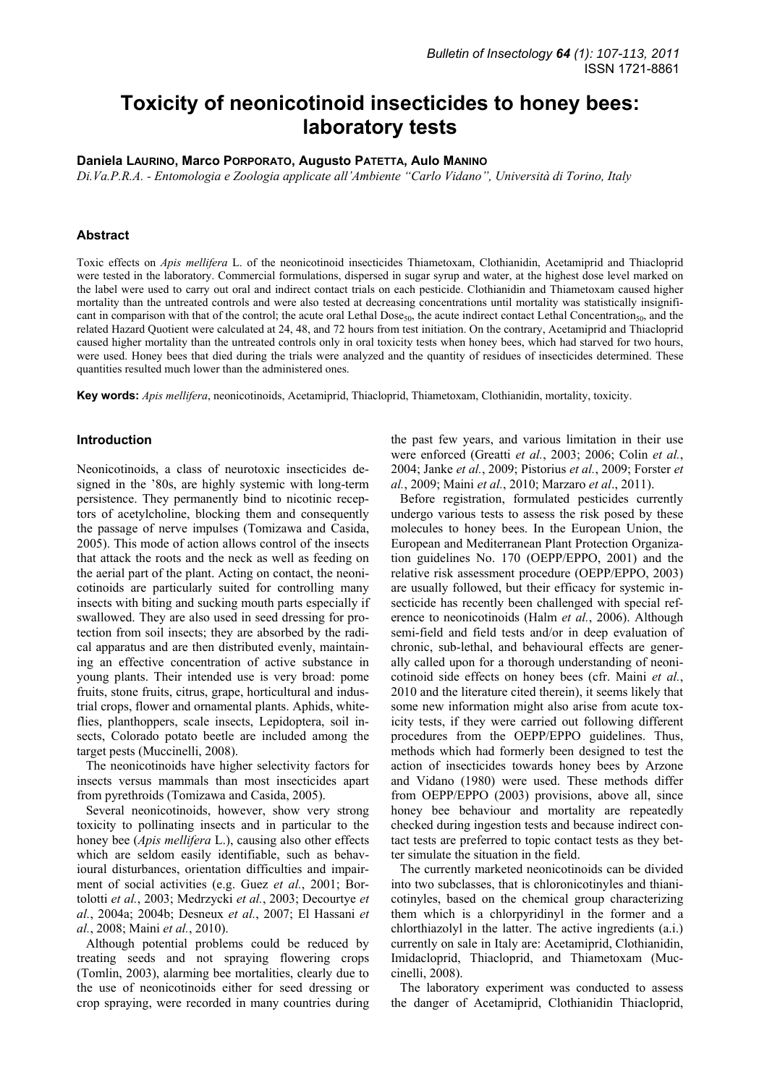# **Toxicity of neonicotinoid insecticides to honey bees: laboratory tests**

# **Daniela LAURINO, Marco PORPORATO, Augusto PATETTA, Aulo MANINO**

*Di.Va.P.R.A. - Entomologia e Zoologia applicate all'Ambiente "Carlo Vidano", Università di Torino, Italy* 

## **Abstract**

Toxic effects on *Apis mellifera* L. of the neonicotinoid insecticides Thiametoxam, Clothianidin, Acetamiprid and Thiacloprid were tested in the laboratory. Commercial formulations, dispersed in sugar syrup and water, at the highest dose level marked on the label were used to carry out oral and indirect contact trials on each pesticide. Clothianidin and Thiametoxam caused higher mortality than the untreated controls and were also tested at decreasing concentrations until mortality was statistically insignificant in comparison with that of the control; the acute oral Lethal Dose<sub>50</sub>, the acute indirect contact Lethal Concentration<sub>50</sub>, and the related Hazard Quotient were calculated at 24, 48, and 72 hours from test initiation. On the contrary, Acetamiprid and Thiacloprid caused higher mortality than the untreated controls only in oral toxicity tests when honey bees, which had starved for two hours, were used. Honey bees that died during the trials were analyzed and the quantity of residues of insecticides determined. These quantities resulted much lower than the administered ones.

**Key words:** *Apis mellifera*, neonicotinoids, Acetamiprid, Thiacloprid, Thiametoxam, Clothianidin, mortality, toxicity.

## **Introduction**

Neonicotinoids, a class of neurotoxic insecticides designed in the '80s, are highly systemic with long-term persistence. They permanently bind to nicotinic receptors of acetylcholine, blocking them and consequently the passage of nerve impulses (Tomizawa and Casida, 2005). This mode of action allows control of the insects that attack the roots and the neck as well as feeding on the aerial part of the plant. Acting on contact, the neonicotinoids are particularly suited for controlling many insects with biting and sucking mouth parts especially if swallowed. They are also used in seed dressing for protection from soil insects; they are absorbed by the radical apparatus and are then distributed evenly, maintaining an effective concentration of active substance in young plants. Their intended use is very broad: pome fruits, stone fruits, citrus, grape, horticultural and industrial crops, flower and ornamental plants. Aphids, whiteflies, planthoppers, scale insects, Lepidoptera, soil insects, Colorado potato beetle are included among the target pests (Muccinelli, 2008).

The neonicotinoids have higher selectivity factors for insects versus mammals than most insecticides apart from pyrethroids (Tomizawa and Casida, 2005).

Several neonicotinoids, however, show very strong toxicity to pollinating insects and in particular to the honey bee (*Apis mellifera* L.), causing also other effects which are seldom easily identifiable, such as behavioural disturbances, orientation difficulties and impairment of social activities (e.g. Guez *et al.*, 2001; Bortolotti *et al.*, 2003; Medrzycki *et al.*, 2003; Decourtye *et al.*, 2004a; 2004b; Desneux *et al.*, 2007; El Hassani *et al.*, 2008; Maini *et al.*, 2010).

Although potential problems could be reduced by treating seeds and not spraying flowering crops (Tomlin, 2003), alarming bee mortalities, clearly due to the use of neonicotinoids either for seed dressing or crop spraying, were recorded in many countries during the past few years, and various limitation in their use were enforced (Greatti *et al.*, 2003; 2006; Colin *et al.*, 2004; Janke *et al.*, 2009; Pistorius *et al.*, 2009; Forster *et al.*, 2009; Maini *et al.*, 2010; Marzaro *et al*., 2011).

Before registration, formulated pesticides currently undergo various tests to assess the risk posed by these molecules to honey bees. In the European Union, the European and Mediterranean Plant Protection Organization guidelines No. 170 (OEPP/EPPO, 2001) and the relative risk assessment procedure (OEPP/EPPO, 2003) are usually followed, but their efficacy for systemic insecticide has recently been challenged with special reference to neonicotinoids (Halm *et al.*, 2006). Although semi-field and field tests and/or in deep evaluation of chronic, sub-lethal, and behavioural effects are generally called upon for a thorough understanding of neonicotinoid side effects on honey bees (cfr. Maini *et al.*, 2010 and the literature cited therein), it seems likely that some new information might also arise from acute toxicity tests, if they were carried out following different procedures from the OEPP/EPPO guidelines. Thus, methods which had formerly been designed to test the action of insecticides towards honey bees by Arzone and Vidano (1980) were used. These methods differ from OEPP/EPPO (2003) provisions, above all, since honey bee behaviour and mortality are repeatedly checked during ingestion tests and because indirect contact tests are preferred to topic contact tests as they better simulate the situation in the field.

The currently marketed neonicotinoids can be divided into two subclasses, that is chloronicotinyles and thianicotinyles, based on the chemical group characterizing them which is a chlorpyridinyl in the former and a chlorthiazolyl in the latter. The active ingredients (a.i.) currently on sale in Italy are: Acetamiprid, Clothianidin, Imidacloprid, Thiacloprid, and Thiametoxam (Muccinelli, 2008).

The laboratory experiment was conducted to assess the danger of Acetamiprid, Clothianidin Thiacloprid,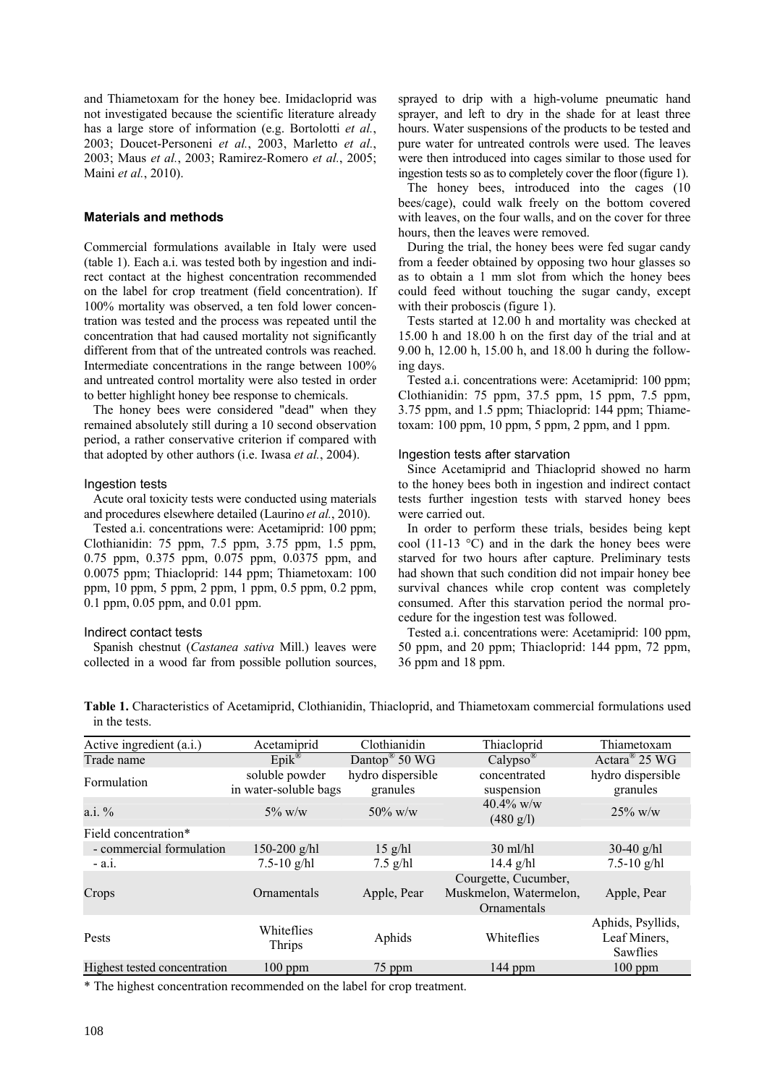and Thiametoxam for the honey bee. Imidacloprid was not investigated because the scientific literature already has a large store of information (e.g. Bortolotti *et al.*, 2003; Doucet-Personeni *et al.*, 2003, Marletto *et al.*, 2003; Maus *et al.*, 2003; Ramirez-Romero *et al.*, 2005; Maini *et al.*, 2010).

## **Materials and methods**

Commercial formulations available in Italy were used (table 1). Each a.i. was tested both by ingestion and indirect contact at the highest concentration recommended on the label for crop treatment (field concentration). If 100% mortality was observed, a ten fold lower concentration was tested and the process was repeated until the concentration that had caused mortality not significantly different from that of the untreated controls was reached. Intermediate concentrations in the range between 100% and untreated control mortality were also tested in order to better highlight honey bee response to chemicals.

The honey bees were considered "dead" when they remained absolutely still during a 10 second observation period, a rather conservative criterion if compared with that adopted by other authors (i.e. Iwasa *et al.*, 2004).

## Ingestion tests

Acute oral toxicity tests were conducted using materials and procedures elsewhere detailed (Laurino *et al.*, 2010).

Tested a.i. concentrations were: Acetamiprid: 100 ppm; Clothianidin: 75 ppm, 7.5 ppm, 3.75 ppm, 1.5 ppm, 0.75 ppm, 0.375 ppm, 0.075 ppm, 0.0375 ppm, and 0.0075 ppm; Thiacloprid: 144 ppm; Thiametoxam: 100 ppm, 10 ppm, 5 ppm, 2 ppm, 1 ppm, 0.5 ppm, 0.2 ppm, 0.1 ppm, 0.05 ppm, and 0.01 ppm.

#### Indirect contact tests

Spanish chestnut (*Castanea sativa* Mill.) leaves were collected in a wood far from possible pollution sources, sprayed to drip with a high-volume pneumatic hand sprayer, and left to dry in the shade for at least three hours. Water suspensions of the products to be tested and pure water for untreated controls were used. The leaves were then introduced into cages similar to those used for ingestion tests so as to completely cover the floor (figure 1).

The honey bees, introduced into the cages (10 bees/cage), could walk freely on the bottom covered with leaves, on the four walls, and on the cover for three hours, then the leaves were removed.

During the trial, the honey bees were fed sugar candy from a feeder obtained by opposing two hour glasses so as to obtain a 1 mm slot from which the honey bees could feed without touching the sugar candy, except with their proboscis (figure 1).

Tests started at 12.00 h and mortality was checked at 15.00 h and 18.00 h on the first day of the trial and at 9.00 h, 12.00 h, 15.00 h, and 18.00 h during the following days.

Tested a.i. concentrations were: Acetamiprid: 100 ppm; Clothianidin: 75 ppm, 37.5 ppm, 15 ppm, 7.5 ppm, 3.75 ppm, and 1.5 ppm; Thiacloprid: 144 ppm; Thiametoxam: 100 ppm, 10 ppm, 5 ppm, 2 ppm, and 1 ppm.

#### Ingestion tests after starvation

Since Acetamiprid and Thiacloprid showed no harm to the honey bees both in ingestion and indirect contact tests further ingestion tests with starved honey bees were carried out.

In order to perform these trials, besides being kept cool (11-13  $^{\circ}$ C) and in the dark the honey bees were starved for two hours after capture. Preliminary tests had shown that such condition did not impair honey bee survival chances while crop content was completely consumed. After this starvation period the normal procedure for the ingestion test was followed.

Tested a.i. concentrations were: Acetamiprid: 100 ppm, 50 ppm, and 20 ppm; Thiacloprid: 144 ppm, 72 ppm, 36 ppm and 18 ppm.

**Table 1.** Characteristics of Acetamiprid, Clothianidin, Thiacloprid, and Thiametoxam commercial formulations used in the tests.

| Acetamiprid                                | Clothianidin                  | Thiacloprid                                                   | Thiametoxam                                   |
|--------------------------------------------|-------------------------------|---------------------------------------------------------------|-----------------------------------------------|
|                                            | Dantop <sup>®</sup> 50 WG     | $Calypso^{\circledR}$                                         | Actara <sup>®</sup> 25 WG                     |
| soluble powder<br>in water-soluble bags    | hydro dispersible<br>granules | concentrated<br>suspension                                    | hydro dispersible<br>granules                 |
| $5\%$ w/w                                  | $50\%$ w/w                    | $40.4\%$ w/w<br>$(480 \text{ g/l})$                           | $25\%$ w/w                                    |
|                                            |                               |                                                               |                                               |
| - commercial formulation<br>$150-200$ g/hl | $15$ g/hl                     | $30$ ml/hl                                                    | $30-40$ g/hl                                  |
| $7.5 - 10$ g/hl                            | $7.5$ g/hl                    | $14.4$ g/hl                                                   | $7.5 - 10$ g/hl                               |
| Ornamentals                                | Apple, Pear                   | Courgette, Cucumber,<br>Muskmelon, Watermelon,<br>Ornamentals | Apple, Pear                                   |
| Whiteflies<br>Thrips                       | Aphids                        | Whiteflies                                                    | Aphids, Psyllids,<br>Leaf Miners,<br>Sawflies |
| Highest tested concentration<br>$100$ ppm  | 75 ppm                        | 144 ppm                                                       | $100$ ppm                                     |
|                                            | $Epik^{\circledR}$            |                                                               |                                               |

\* The highest concentration recommended on the label for crop treatment.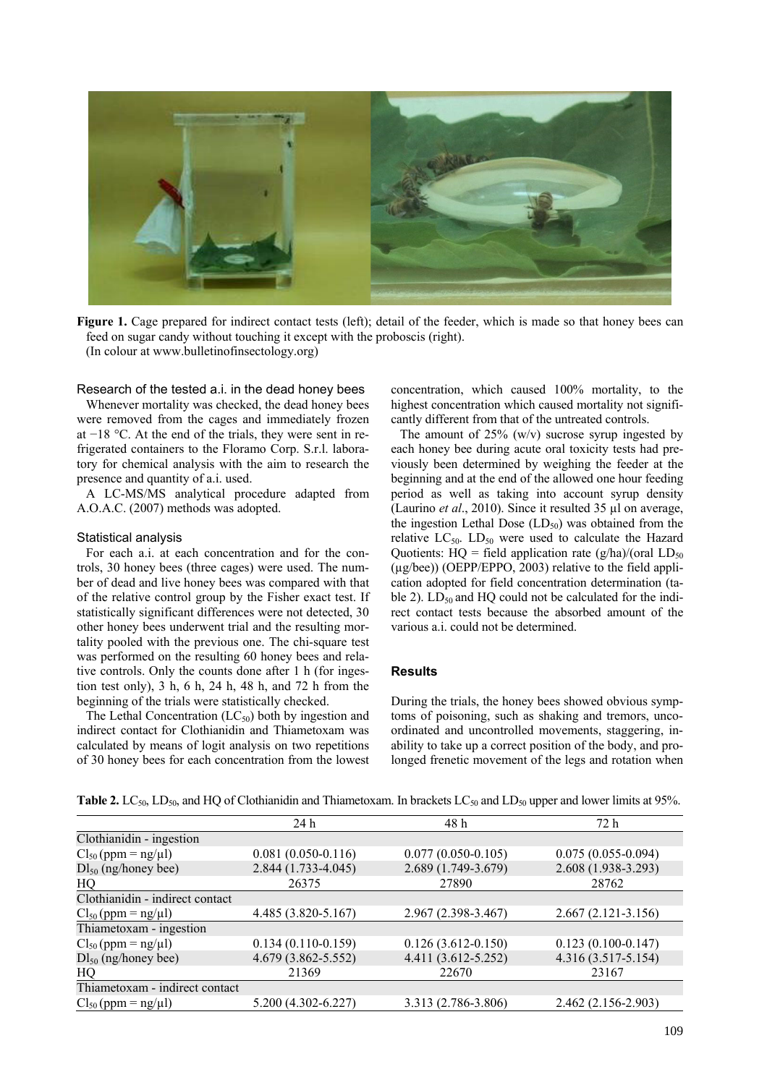

**Figure 1.** Cage prepared for indirect contact tests (left); detail of the feeder, which is made so that honey bees can feed on sugar candy without touching it except with the proboscis (right). (In colour at www.bulletinofinsectology.org)

#### Research of the tested a.i. in the dead honey bees

Whenever mortality was checked, the dead honey bees were removed from the cages and immediately frozen at −18 °C. At the end of the trials, they were sent in refrigerated containers to the Floramo Corp. S.r.l. laboratory for chemical analysis with the aim to research the presence and quantity of a.i. used.

A LC-MS/MS analytical procedure adapted from A.O.A.C. (2007) methods was adopted.

#### Statistical analysis

For each a.i. at each concentration and for the controls, 30 honey bees (three cages) were used. The number of dead and live honey bees was compared with that of the relative control group by the Fisher exact test. If statistically significant differences were not detected, 30 other honey bees underwent trial and the resulting mortality pooled with the previous one. The chi-square test was performed on the resulting 60 honey bees and relative controls. Only the counts done after 1 h (for ingestion test only),  $3 h$ ,  $6 h$ ,  $24 h$ ,  $48 h$ , and  $72 h$  from the beginning of the trials were statistically checked.

The Lethal Concentration  $(LC_{50})$  both by ingestion and indirect contact for Clothianidin and Thiametoxam was calculated by means of logit analysis on two repetitions of 30 honey bees for each concentration from the lowest concentration, which caused 100% mortality, to the highest concentration which caused mortality not significantly different from that of the untreated controls.

The amount of  $25\%$  (w/v) sucrose syrup ingested by each honey bee during acute oral toxicity tests had previously been determined by weighing the feeder at the beginning and at the end of the allowed one hour feeding period as well as taking into account syrup density (Laurino *et al*., 2010). Since it resulted 35 µl on average, the ingestion Lethal Dose  $(LD_{50})$  was obtained from the relative  $LC_{50}$ .  $LD_{50}$  were used to calculate the Hazard Quotients:  $HQ = field application rate (g/ha)/(oral LD<sub>50</sub>)$ (µg/bee)) (OEPP/EPPO, 2003) relative to the field application adopted for field concentration determination (table 2).  $LD_{50}$  and HQ could not be calculated for the indirect contact tests because the absorbed amount of the various a.i. could not be determined.

## **Results**

During the trials, the honey bees showed obvious symptoms of poisoning, such as shaking and tremors, uncoordinated and uncontrolled movements, staggering, inability to take up a correct position of the body, and prolonged frenetic movement of the legs and rotation when

|                                 | 24 h                   | 48h                    | 72 h                   |
|---------------------------------|------------------------|------------------------|------------------------|
| Clothianidin - ingestion        |                        |                        |                        |
| $Cl_{50} (ppm = ng/µl)$         | $0.081(0.050-0.116)$   | $0.077(0.050 - 0.105)$ | $0.075(0.055-0.094)$   |
| $DI_{50}$ (ng/honey bee)        | 2.844 (1.733-4.045)    | 2.689 (1.749-3.679)    | 2.608 (1.938-3.293)    |
| HQ                              | 26375                  | 27890                  | 28762                  |
| Clothianidin - indirect contact |                        |                        |                        |
| $Cl_{50} (ppm = ng/µl)$         | 4.485 (3.820-5.167)    | 2.967 (2.398-3.467)    | $2.667(2.121-3.156)$   |
| Thiametoxam - ingestion         |                        |                        |                        |
| $Cl_{50} (ppm = ng/µl)$         | $0.134(0.110-0.159)$   | $0.126(3.612 - 0.150)$ | $0.123(0.100 - 0.147)$ |
| $DI_{50}$ (ng/honey bee)        | 4.679 (3.862-5.552)    | 4.411 (3.612-5.252)    | 4.316 (3.517-5.154)    |
| HQ                              | 21369                  | 22670                  | 23167                  |
| Thiametoxam - indirect contact  |                        |                        |                        |
| $Cl_{50} (ppm = ng/µl)$         | $5.200(4.302 - 6.227)$ | 3.313 (2.786-3.806)    | 2.462 (2.156-2.903)    |

**Table 2.** LC<sub>50</sub>, LD<sub>50</sub>, and HQ of Clothianidin and Thiametoxam. In brackets LC<sub>50</sub> and LD<sub>50</sub> upper and lower limits at 95%.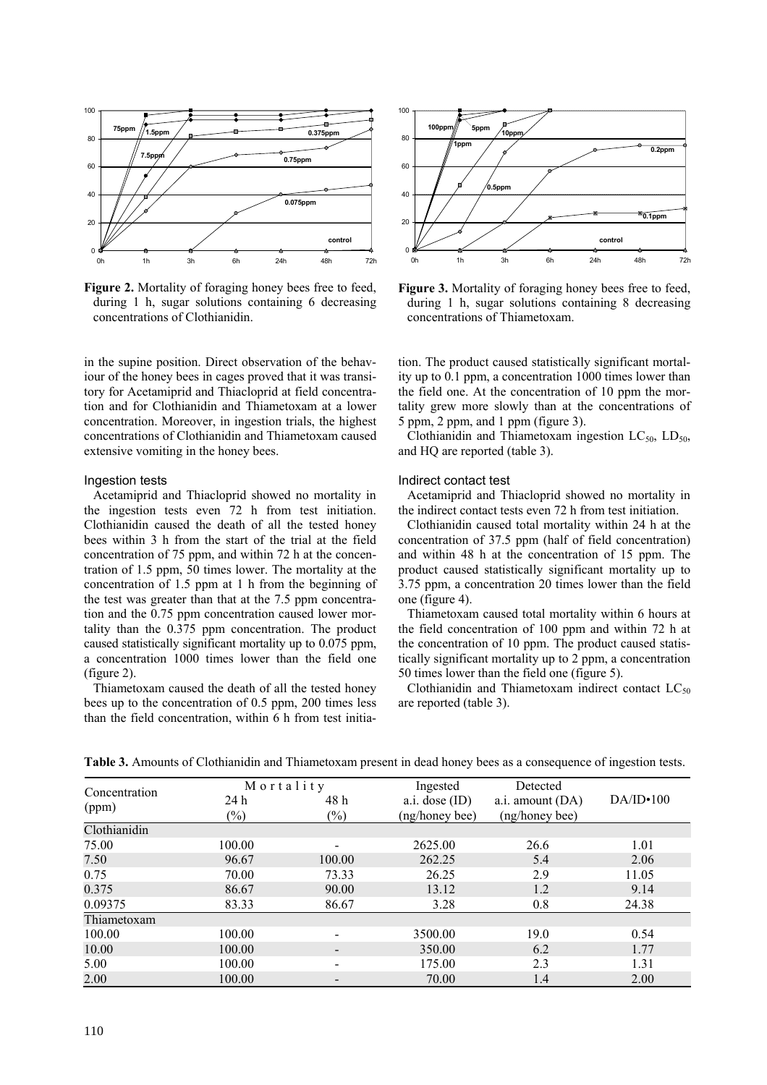

Figure 2. Mortality of foraging honey bees free to feed, during 1 h, sugar solutions containing 6 decreasing concentrations of Clothianidin.

in the supine position. Direct observation of the behaviour of the honey bees in cages proved that it was transitory for Acetamiprid and Thiacloprid at field concentration and for Clothianidin and Thiametoxam at a lower concentration. Moreover, in ingestion trials, the highest concentrations of Clothianidin and Thiametoxam caused extensive vomiting in the honey bees.

### Ingestion tests

Acetamiprid and Thiacloprid showed no mortality in the ingestion tests even 72 h from test initiation. Clothianidin caused the death of all the tested honey bees within 3 h from the start of the trial at the field concentration of 75 ppm, and within 72 h at the concentration of 1.5 ppm, 50 times lower. The mortality at the concentration of 1.5 ppm at 1 h from the beginning of the test was greater than that at the 7.5 ppm concentration and the 0.75 ppm concentration caused lower mortality than the 0.375 ppm concentration. The product caused statistically significant mortality up to 0.075 ppm, a concentration 1000 times lower than the field one (figure 2).

Thiametoxam caused the death of all the tested honey bees up to the concentration of 0.5 ppm, 200 times less than the field concentration, within 6 h from test initia-



Figure 3. Mortality of foraging honey bees free to feed, during 1 h, sugar solutions containing 8 decreasing concentrations of Thiametoxam.

tion. The product caused statistically significant mortality up to 0.1 ppm, a concentration 1000 times lower than the field one. At the concentration of 10 ppm the mortality grew more slowly than at the concentrations of 5 ppm, 2 ppm, and 1 ppm (figure 3).

Clothianidin and Thiametoxam ingestion  $LC_{50}$ ,  $LD_{50}$ , and HQ are reported (table 3).

#### Indirect contact test

Acetamiprid and Thiacloprid showed no mortality in the indirect contact tests even 72 h from test initiation.

Clothianidin caused total mortality within 24 h at the concentration of 37.5 ppm (half of field concentration) and within 48 h at the concentration of 15 ppm. The product caused statistically significant mortality up to 3.75 ppm, a concentration 20 times lower than the field one (figure 4).

Thiametoxam caused total mortality within 6 hours at the field concentration of 100 ppm and within 72 h at the concentration of 10 ppm. The product caused statistically significant mortality up to 2 ppm, a concentration 50 times lower than the field one (figure 5).

Clothianidin and Thiametoxam indirect contact  $LC_{50}$ are reported (table 3).

| Concentration | Mortality |                            | Ingested         | Detected         |           |  |
|---------------|-----------|----------------------------|------------------|------------------|-----------|--|
| (ppm)         | 24 h      | 48h                        | a.i. dose $(ID)$ | a.i. amount (DA) | DA/ID•100 |  |
|               | $(\%)$    | $\left(\frac{0}{0}\right)$ | (ng/honey bee)   | (ng/honey bee)   |           |  |
| Clothianidin  |           |                            |                  |                  |           |  |
| 75.00         | 100.00    |                            | 2625.00          | 26.6             | 1.01      |  |
| 7.50          | 96.67     | 100.00                     | 262.25           | 5.4              | 2.06      |  |
| 0.75          | 70.00     | 73.33                      | 26.25            | 2.9              | 11.05     |  |
| 0.375         | 86.67     | 90.00                      | 13.12            | 1.2              | 9.14      |  |
| 0.09375       | 83.33     | 86.67                      | 3.28             | 0.8              | 24.38     |  |
| Thiametoxam   |           |                            |                  |                  |           |  |
| 100.00        | 100.00    |                            | 3500.00          | 19.0             | 0.54      |  |
| 10.00         | 100.00    |                            | 350.00           | 6.2              | 1.77      |  |
| 5.00          | 100.00    |                            | 175.00           | 2.3              | 1.31      |  |
| 2.00          | 100.00    |                            | 70.00            | 1.4              | 2.00      |  |

**Table 3.** Amounts of Clothianidin and Thiametoxam present in dead honey bees as a consequence of ingestion tests.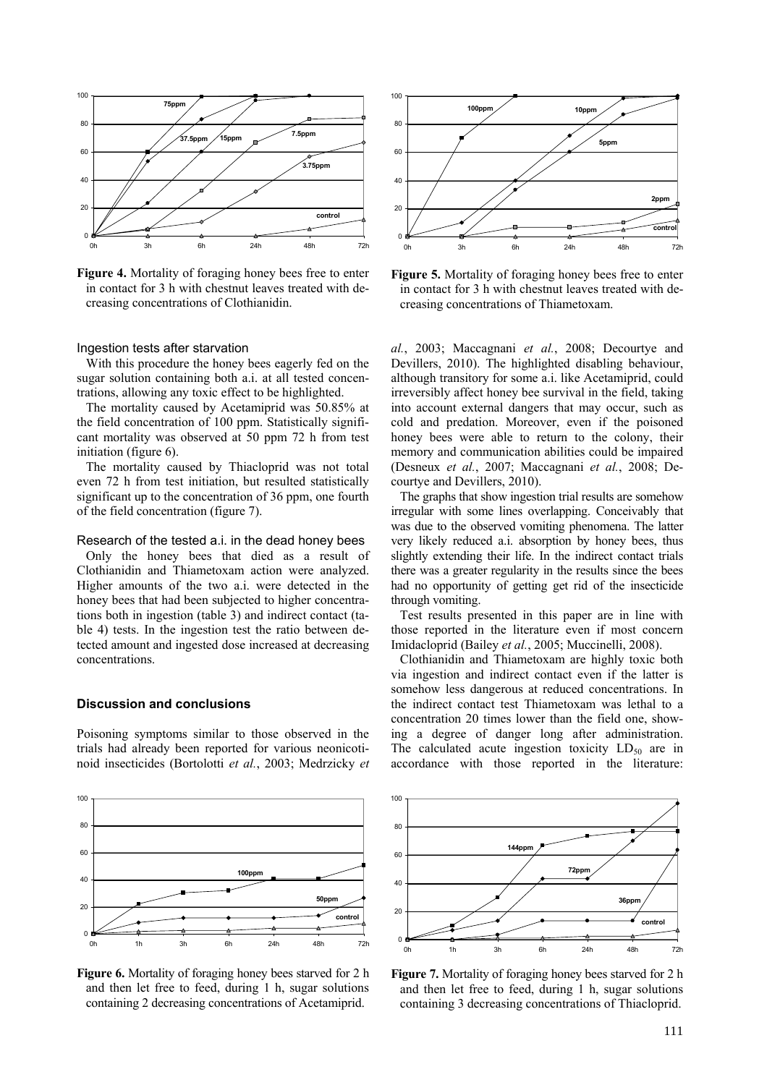

**Figure 4.** Mortality of foraging honey bees free to enter in contact for 3 h with chestnut leaves treated with decreasing concentrations of Clothianidin.

# Ingestion tests after starvation

With this procedure the honey bees eagerly fed on the sugar solution containing both a.i. at all tested concentrations, allowing any toxic effect to be highlighted.

The mortality caused by Acetamiprid was 50.85% at the field concentration of 100 ppm. Statistically significant mortality was observed at 50 ppm 72 h from test initiation (figure 6).

The mortality caused by Thiacloprid was not total even 72 h from test initiation, but resulted statistically significant up to the concentration of 36 ppm, one fourth of the field concentration (figure 7).

#### Research of the tested a.i. in the dead honey bees

Only the honey bees that died as a result of Clothianidin and Thiametoxam action were analyzed. Higher amounts of the two a.i. were detected in the honey bees that had been subjected to higher concentrations both in ingestion (table 3) and indirect contact (table 4) tests. In the ingestion test the ratio between detected amount and ingested dose increased at decreasing concentrations.

## **Discussion and conclusions**

Poisoning symptoms similar to those observed in the trials had already been reported for various neonicotinoid insecticides (Bortolotti *et al.*, 2003; Medrzicky *et* 



**Figure 6.** Mortality of foraging honey bees starved for 2 h and then let free to feed, during 1 h, sugar solutions containing 2 decreasing concentrations of Acetamiprid.



**Figure 5.** Mortality of foraging honey bees free to enter in contact for 3 h with chestnut leaves treated with decreasing concentrations of Thiametoxam.

*al.*, 2003; Maccagnani *et al.*, 2008; Decourtye and Devillers, 2010). The highlighted disabling behaviour, although transitory for some a.i. like Acetamiprid, could irreversibly affect honey bee survival in the field, taking into account external dangers that may occur, such as cold and predation. Moreover, even if the poisoned honey bees were able to return to the colony, their memory and communication abilities could be impaired (Desneux *et al.*, 2007; Maccagnani *et al.*, 2008; Decourtye and Devillers, 2010).

The graphs that show ingestion trial results are somehow irregular with some lines overlapping. Conceivably that was due to the observed vomiting phenomena. The latter very likely reduced a.i. absorption by honey bees, thus slightly extending their life. In the indirect contact trials there was a greater regularity in the results since the bees had no opportunity of getting get rid of the insecticide through vomiting.

Test results presented in this paper are in line with those reported in the literature even if most concern Imidacloprid (Bailey *et al.*, 2005; Muccinelli, 2008).

Clothianidin and Thiametoxam are highly toxic both via ingestion and indirect contact even if the latter is somehow less dangerous at reduced concentrations. In the indirect contact test Thiametoxam was lethal to a concentration 20 times lower than the field one, showing a degree of danger long after administration. The calculated acute ingestion toxicity  $LD_{50}$  are in accordance with those reported in the literature:



**Figure 7.** Mortality of foraging honey bees starved for 2 h and then let free to feed, during 1 h, sugar solutions containing 3 decreasing concentrations of Thiacloprid.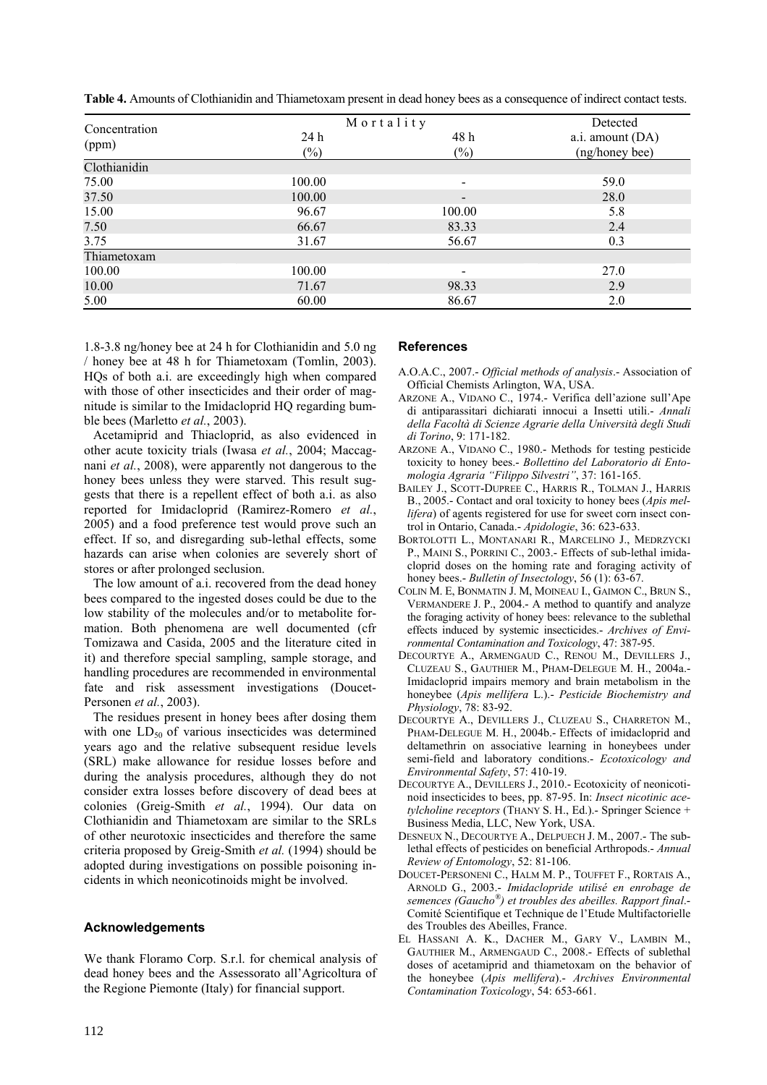| Concentration | Mortality      | Detected                 |                                    |
|---------------|----------------|--------------------------|------------------------------------|
| (ppm)         | 24 h<br>$(\%)$ | 48 h<br>$(\%)$           | a.i. amount (DA)<br>(ng/honey bee) |
| Clothianidin  |                |                          |                                    |
| 75.00         | 100.00         | $\overline{\phantom{a}}$ | 59.0                               |
| 37.50         | 100.00         | $\overline{\phantom{a}}$ | 28.0                               |
| 15.00         | 96.67          | 100.00                   | 5.8                                |
| 7.50          | 66.67          | 83.33                    | 2.4                                |
| 3.75          | 31.67          | 56.67                    | 0.3                                |
| Thiametoxam   |                |                          |                                    |
| 100.00        | 100.00         | $\overline{\phantom{0}}$ | 27.0                               |
| 10.00         | 71.67          | 98.33                    | 2.9                                |
| 5.00          | 60.00          | 86.67                    | 2.0                                |

**Table 4.** Amounts of Clothianidin and Thiametoxam present in dead honey bees as a consequence of indirect contact tests.

1.8-3.8 ng/honey bee at 24 h for Clothianidin and 5.0 ng / honey bee at 48 h for Thiametoxam (Tomlin, 2003). HQs of both a.i. are exceedingly high when compared with those of other insecticides and their order of magnitude is similar to the Imidacloprid HQ regarding bumble bees (Marletto *et al.*, 2003).

Acetamiprid and Thiacloprid, as also evidenced in other acute toxicity trials (Iwasa *et al.*, 2004; Maccagnani *et al.*, 2008), were apparently not dangerous to the honey bees unless they were starved. This result suggests that there is a repellent effect of both a.i. as also reported for Imidacloprid (Ramirez-Romero *et al.*, 2005) and a food preference test would prove such an effect. If so, and disregarding sub-lethal effects, some hazards can arise when colonies are severely short of stores or after prolonged seclusion.

The low amount of a.i. recovered from the dead honey bees compared to the ingested doses could be due to the low stability of the molecules and/or to metabolite formation. Both phenomena are well documented (cfr Tomizawa and Casida, 2005 and the literature cited in it) and therefore special sampling, sample storage, and handling procedures are recommended in environmental fate and risk assessment investigations (Doucet-Personen *et al.*, 2003).

The residues present in honey bees after dosing them with one  $LD_{50}$  of various insecticides was determined years ago and the relative subsequent residue levels (SRL) make allowance for residue losses before and during the analysis procedures, although they do not consider extra losses before discovery of dead bees at colonies (Greig-Smith *et al.*, 1994). Our data on Clothianidin and Thiametoxam are similar to the SRLs of other neurotoxic insecticides and therefore the same criteria proposed by Greig-Smith *et al.* (1994) should be adopted during investigations on possible poisoning incidents in which neonicotinoids might be involved.

## **Acknowledgements**

We thank Floramo Corp. S.r.l. for chemical analysis of dead honey bees and the Assessorato all'Agricoltura of the Regione Piemonte (Italy) for financial support.

# **References**

- A.O.A.C., 2007.- *Official methods of analysis*.- Association of Official Chemists Arlington, WA, USA.
- ARZONE A., VIDANO C., 1974.- Verifica dell'azione sull'Ape di antiparassitari dichiarati innocui a Insetti utili.- *Annali della Facoltà di Scienze Agrarie della Università degli Studi di Torino*, 9: 171-182.
- ARZONE A., VIDANO C., 1980.- Methods for testing pesticide toxicity to honey bees.- *Bollettino del Laboratorio di Entomologia Agraria "Filippo Silvestri"*, 37: 161-165.
- BAILEY J., SCOTT-DUPREE C., HARRIS R., TOLMAN J., HARRIS B., 2005.- Contact and oral toxicity to honey bees (*Apis mellifera*) of agents registered for use for sweet corn insect control in Ontario, Canada.- *Apidologie*, 36: 623-633.
- BORTOLOTTI L., MONTANARI R., MARCELINO J., MEDRZYCKI P., MAINI S., PORRINI C., 2003.- Effects of sub-lethal imidacloprid doses on the homing rate and foraging activity of honey bees.- *Bulletin of Insectology*, 56 (1): 63-67.
- COLIN M. E, BONMATIN J. M, MOINEAU I., GAIMON C., BRUN S., VERMANDERE J. P., 2004.- A method to quantify and analyze the foraging activity of honey bees: relevance to the sublethal effects induced by systemic insecticides.- *Archives of Environmental Contamination and Toxicology*, 47: 387-95.
- DECOURTYE A., ARMENGAUD C., RENOU M., DEVILLERS J., CLUZEAU S., GAUTHIER M., PHAM-DELEGUE M. H., 2004a.- Imidacloprid impairs memory and brain metabolism in the honeybee (*Apis mellifera* L.).- *Pesticide Biochemistry and Physiology*, 78: 83-92.
- DECOURTYE A., DEVILLERS J., CLUZEAU S., CHARRETON M., PHAM-DELEGUE M. H., 2004b.- Effects of imidacloprid and deltamethrin on associative learning in honeybees under semi-field and laboratory conditions.- *Ecotoxicology and Environmental Safety*, 57: 410-19.
- DECOURTYE A., DEVILLERS J., 2010.- Ecotoxicity of neonicotinoid insecticides to bees, pp. 87-95. In: *Insect nicotinic acetylcholine receptors* (THANY S. H., Ed.).- Springer Science + Business Media, LLC, New York, USA.
- DESNEUX N., DECOURTYE A., DELPUECH J. M., 2007.- The sublethal effects of pesticides on beneficial Arthropods.- *Annual Review of Entomology*, 52: 81-106.
- DOUCET-PERSONENI C., HALM M. P., TOUFFET F., RORTAIS A., ARNOLD G., 2003.- *Imidaclopride utilisé en enrobage de semences (Gaucho®) et troubles des abeilles. Rapport final*.- Comité Scientifique et Technique de l'Etude Multifactorielle des Troubles des Abeilles, France.
- EL HASSANI A. K., DACHER M., GARY V., LAMBIN M., GAUTHIER M., ARMENGAUD C., 2008.- Effects of sublethal doses of acetamiprid and thiametoxam on the behavior of the honeybee (*Apis mellifera*).- *Archives Environmental Contamination Toxicology*, 54: 653-661.